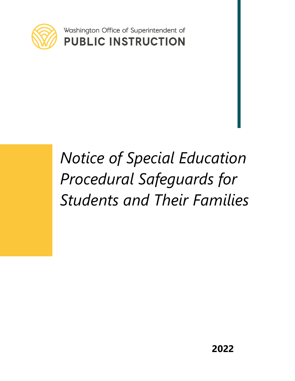

Washington Office of Superintendent of **PUBLIC INSTRUCTION** 

# *Notice of Special Education Procedural Safeguards for Students and Their Families*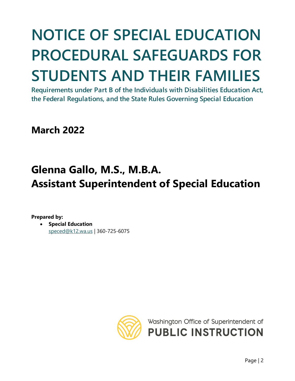# **NOTICE OF SPECIAL EDUCATION PROCEDURAL SAFEGUARDS FOR STUDENTS AND THEIR FAMILIES**

**Requirements under Part B of the Individuals with Disabilities Education Act, the Federal Regulations, and the State Rules Governing Special Education**

**March 2022**

## **Glenna Gallo, M.S., M.B.A. Assistant Superintendent of Special Education**

**Prepared by:**

• **Special Education** [speced@k12.wa.us](mailto:speced@k12.wa.us) | 360-725-6075



Washington Office of Superintendent of **PUBLIC INSTRUCTION**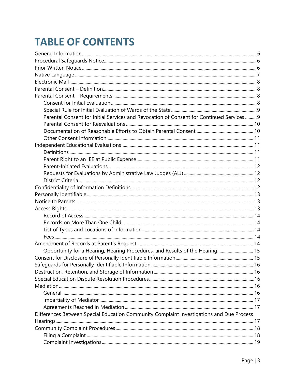## **TABLE OF CONTENTS**

| Parental Consent for Initial Services and Revocation of Consent for Continued Services 9 |  |
|------------------------------------------------------------------------------------------|--|
|                                                                                          |  |
|                                                                                          |  |
|                                                                                          |  |
|                                                                                          |  |
|                                                                                          |  |
|                                                                                          |  |
|                                                                                          |  |
|                                                                                          |  |
|                                                                                          |  |
|                                                                                          |  |
|                                                                                          |  |
|                                                                                          |  |
|                                                                                          |  |
|                                                                                          |  |
|                                                                                          |  |
|                                                                                          |  |
|                                                                                          |  |
|                                                                                          |  |
| Opportunity for a Hearing, Hearing Procedures, and Results of the Hearing 15             |  |
|                                                                                          |  |
|                                                                                          |  |
|                                                                                          |  |
|                                                                                          |  |
|                                                                                          |  |
|                                                                                          |  |
|                                                                                          |  |
|                                                                                          |  |
| Differences Between Special Education Community Complaint Investigations and Due Process |  |
|                                                                                          |  |
|                                                                                          |  |
|                                                                                          |  |
|                                                                                          |  |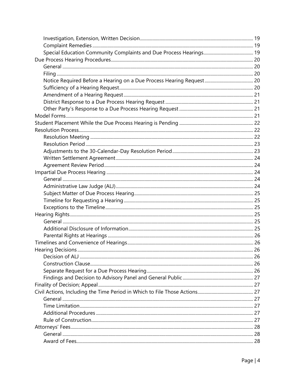| <b>Hearing Decisions</b> | 26 |
|--------------------------|----|
|                          |    |
|                          |    |
|                          |    |
|                          |    |
|                          |    |
|                          |    |
|                          |    |
|                          |    |
|                          |    |
|                          |    |
|                          |    |
|                          |    |
|                          |    |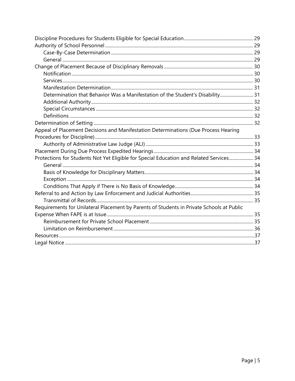| Determination that Behavior Was a Manifestation of the Student's Disability 31            |  |
|-------------------------------------------------------------------------------------------|--|
|                                                                                           |  |
|                                                                                           |  |
|                                                                                           |  |
|                                                                                           |  |
| Appeal of Placement Decisions and Manifestation Determinations (Due Process Hearing       |  |
|                                                                                           |  |
|                                                                                           |  |
|                                                                                           |  |
| Protections for Students Not Yet Eligible for Special Education and Related Services 34   |  |
|                                                                                           |  |
|                                                                                           |  |
|                                                                                           |  |
|                                                                                           |  |
|                                                                                           |  |
|                                                                                           |  |
| Requirements for Unilateral Placement by Parents of Students in Private Schools at Public |  |
|                                                                                           |  |
|                                                                                           |  |
|                                                                                           |  |
|                                                                                           |  |
|                                                                                           |  |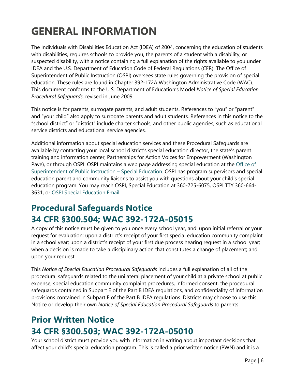## <span id="page-5-0"></span>**GENERAL INFORMATION**

The Individuals with Disabilities Education Act (IDEA) of 2004, concerning the education of students with disabilities, requires schools to provide you, the parents of a student with a disability, or suspected disability, with a notice containing a full explanation of the rights available to you under IDEA and the U.S. Department of Education Code of Federal Regulations (CFR). The Office of Superintendent of Public Instruction (OSPI) oversees state rules governing the provision of special education. These rules are found in Chapter 392-172A Washington Administrative Code (WAC). This document conforms to the U.S. Department of Education's Model *Notice of Special Education Procedural Safeguards*, revised in June 2009.

This notice is for parents, surrogate parents, and adult students. References to "you" or "parent" and "your child" also apply to surrogate parents and adult students. References in this notice to the "school district" or "district" include charter schools, and other public agencies, such as educational service districts and educational service agencies.

Additional information about special education services and these Procedural Safeguards are available by contacting your local school district's special education director, the state's parent training and information center, Partnerships for Action Voices for Empowerment (Washington Pave), or through OSPI. OSPI maintains a web page addressing special education at the [Office of](http://www.k12.wa.us/SpecialEd/default.aspx)  Superintendent [of Public Instruction –](http://www.k12.wa.us/SpecialEd/default.aspx) Special Education. OSPI has program supervisors and special education parent and community liaisons to assist you with questions about your child's special education program. You may reach OSPI, Special Education at 360-725-6075, OSPI TTY 360-664- 3631, or [OSPI Special Education Email.](mailto:speced@k12.wa.us)

## <span id="page-5-1"></span>**Procedural Safeguards Notice 34 CFR §300.504; WAC 392-172A-05015**

A copy of this notice must be given to you once every school year, and: upon initial referral or your request for evaluation; upon a district's receipt of your first special education community complaint in a school year; upon a district's receipt of your first due process hearing request in a school year; when a decision is made to take a disciplinary action that constitutes a change of placement; and upon your request.

This *Notice of Special Education Procedural Safeguards* includes a full explanation of all of the procedural safeguards related to the unilateral placement of your child at a private school at public expense, special education community complaint procedures, informed consent, the procedural safeguards contained in Subpart E of the Part B IDEA regulations, and confidentiality of information provisions contained in Subpart F of the Part B IDEA regulations. Districts may choose to use this Notice or develop their own *Notice of Special Education Procedural Safeguards* to parents.

## <span id="page-5-2"></span>**Prior Written Notice 34 CFR §300.503; WAC 392-172A-05010**

Your school district must provide you with information in writing about important decisions that affect your child's special education program. This is called a prior written notice (PWN) and it is a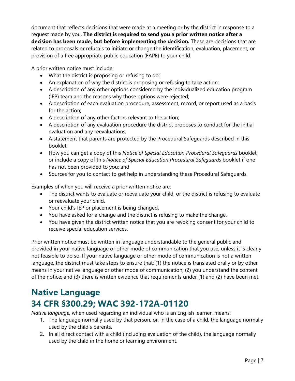document that reflects decisions that were made at a meeting or by the district in response to a request made by you. **The district is required to send you a prior written notice after a decision has been made, but before implementing the decision.** These are decisions that are related to proposals or refusals to initiate or change the identification, evaluation, placement, or provision of a free appropriate public education (FAPE) to your child.

A prior written notice must include:

- What the district is proposing or refusing to do;
- An explanation of why the district is proposing or refusing to take action;
- A description of any other options considered by the individualized education program (IEP) team and the reasons why those options were rejected;
- A description of each evaluation procedure, assessment, record, or report used as a basis for the action;
- A description of any other factors relevant to the action;
- A description of any evaluation procedure the district proposes to conduct for the initial evaluation and any reevaluations;
- A statement that parents are protected by the Procedural Safeguards described in this booklet;
- How you can get a copy of this *Notice of Special Education Procedural Safeguards* booklet; or include a copy of this *Notice of Special Education Procedural Safeguards* booklet if one has not been provided to you; and
- Sources for you to contact to get help in understanding these Procedural Safeguards.

Examples of when you will receive a prior written notice are:

- The district wants to evaluate or reevaluate your child, or the district is refusing to evaluate or reevaluate your child.
- Your child's IEP or placement is being changed.
- You have asked for a change and the district is refusing to make the change.
- You have given the district written notice that you are revoking consent for your child to receive special education services.

Prior written notice must be written in language understandable to the general public and provided in your native language or other mode of communication that you use, unless it is clearly not feasible to do so. If your native language or other mode of communication is not a written language, the district must take steps to ensure that: (1) the notice is translated orally or by other means in your native language or other mode of communication; (2) you understand the content of the notice; and (3) there is written evidence that requirements under (1) and (2) have been met.

## <span id="page-6-0"></span>**Native Language 34 CFR §300.29; WAC 392-172A-01120**

*Native language,* when used regarding an individual who is an English learner, means:

- 1. The language normally used by that person, or, in the case of a child, the language normally used by the child's parents.
- 2. In all direct contact with a child (including evaluation of the child), the language normally used by the child in the home or learning environment.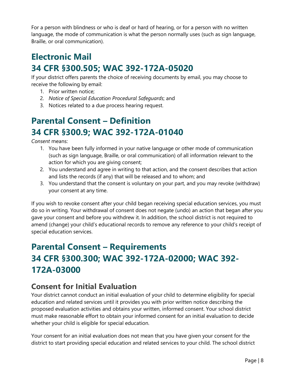For a person with blindness or who is deaf or hard of hearing, or for a person with no written language, the mode of communication is what the person normally uses (such as sign language, Braille, or oral communication).

## <span id="page-7-0"></span>**Electronic Mail 34 CFR §300.505; WAC 392-172A-05020**

If your district offers parents the choice of receiving documents by email, you may choose to receive the following by email:

- 1. Prior written notice;
- 2. *Notice of Special Education Procedural Safeguards*; and
- 3. Notices related to a due process hearing request.

## <span id="page-7-1"></span>**Parental Consent – Definition 34 CFR §300.9; WAC 392-172A-01040**

*Consent* means:

- 1. You have been fully informed in your native language or other mode of communication (such as sign language, Braille, or oral communication) of all information relevant to the action for which you are giving consent;
- 2. You understand and agree in writing to that action, and the consent describes that action and lists the records (if any) that will be released and to whom; and
- 3. You understand that the consent is voluntary on your part, and you may revoke (withdraw) your consent at any time.

If you wish to revoke consent after your child began receiving special education services, you must do so in writing. Your withdrawal of consent does not negate (undo) an action that began after you gave your consent and before you withdrew it. In addition, the school district is not required to amend (change) your child's educational records to remove any reference to your child's receipt of special education services.

## <span id="page-7-2"></span>**Parental Consent – Requirements 34 CFR §300.300; WAC 392-172A-02000; WAC 392- 172A-03000**

#### <span id="page-7-3"></span>**Consent for Initial Evaluation**

Your district cannot conduct an initial evaluation of your child to determine eligibility for special education and related services until it provides you with prior written notice describing the proposed evaluation activities and obtains your written, informed consent. Your school district must make reasonable effort to obtain your informed consent for an initial evaluation to decide whether your child is eligible for special education.

Your consent for an initial evaluation does not mean that you have given your consent for the district to start providing special education and related services to your child. The school district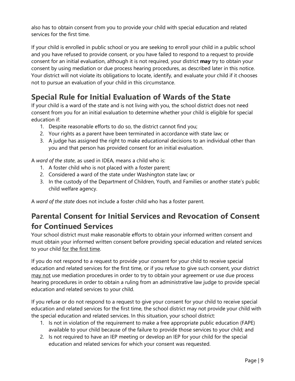also has to obtain consent from you to provide your child with special education and related services for the first time.

If your child is enrolled in public school or you are seeking to enroll your child in a public school and you have refused to provide consent, or you have failed to respond to a request to provide consent for an initial evaluation, although it is not required, your district **may** try to obtain your consent by using mediation or due process hearing procedures, as described later in this notice. Your district will not violate its obligations to locate, identify, and evaluate your child if it chooses not to pursue an evaluation of your child in this circumstance.

#### <span id="page-8-0"></span>**Special Rule for Initial Evaluation of Wards of the State**

If your child is a ward of the state and is not living with you, the school district does not need consent from you for an initial evaluation to determine whether your child is eligible for special education if:

- 1. Despite reasonable efforts to do so, the district cannot find you;
- 2. Your rights as a parent have been terminated in accordance with state law; or
- 3. A judge has assigned the right to make educational decisions to an individual other than you and that person has provided consent for an initial evaluation.

A *ward of the state*, as used in IDEA, means a child who is:

- 1. A foster child who is not placed with a foster parent;
- 2. Considered a ward of the state under Washington state law; or
- 3. In the custody of the Department of Children, Youth, and Families or another state's public child welfare agency.

A *ward of the state* does not include a foster child who has a foster parent.

#### <span id="page-8-1"></span>**Parental Consent for Initial Services and Revocation of Consent for Continued Services**

Your school district must make reasonable efforts to obtain your informed written consent and must obtain your informed written consent before providing special education and related services to your child for the first time.

If you do not respond to a request to provide your consent for your child to receive special education and related services for the first time, or if you refuse to give such consent, your district may not use mediation procedures in order to try to obtain your agreement or use due process hearing procedures in order to obtain a ruling from an administrative law judge to provide special education and related services to your child.

If you refuse or do not respond to a request to give your consent for your child to receive special education and related services for the first time, the school district may not provide your child with the special education and related services. In this situation, your school district:

- 1. Is not in violation of the requirement to make a free appropriate public education (FAPE) available to your child because of the failure to provide those services to your child; and
- 2. Is not required to have an IEP meeting or develop an IEP for your child for the special education and related services for which your consent was requested.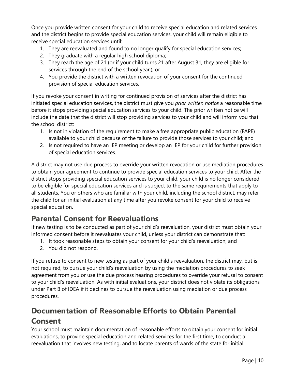Once you provide written consent for your child to receive special education and related services and the district begins to provide special education services, your child will remain eligible to receive special education services until:

- 1. They are reevaluated and found to no longer qualify for special education services;
- 2. They graduate with a regular high school diploma;
- 3. They reach the age of 21 (or if your child turns 21 after August 31, they are eligible for services through the end of the school year.); or
- 4. You provide the district with a written revocation of your consent for the continued provision of special education services.

If you revoke your consent in writing for continued provision of services after the district has initiated special education services, the district must give you *prior written notice* a reasonable time before it stops providing special education services to your child. The prior written notice will include the date that the district will stop providing services to your child and will inform you that the school district:

- 1. Is not in violation of the requirement to make a free appropriate public education (FAPE) available to your child because of the failure to provide those services to your child; and
- 2. Is not required to have an IEP meeting or develop an IEP for your child for further provision of special education services.

A district may not use due process to override your written revocation or use mediation procedures to obtain your agreement to continue to provide special education services to your child. After the district stops providing special education services to your child, your child is no longer considered to be eligible for special education services and is subject to the same requirements that apply to all students. You or others who are familiar with your child, including the school district, may refer the child for an initial evaluation at any time after you revoke consent for your child to receive special education.

#### <span id="page-9-0"></span>**Parental Consent for Reevaluations**

If new testing is to be conducted as part of your child's reevaluation, your district must obtain your informed consent before it reevaluates your child, unless your district can demonstrate that:

- 1. It took reasonable steps to obtain your consent for your child's reevaluation; and
- 2. You did not respond.

If you refuse to consent to new testing as part of your child's reevaluation, the district may, but is not required, to pursue your child's reevaluation by using the mediation procedures to seek agreement from you or use the due process hearing procedures to override your refusal to consent to your child's reevaluation. As with initial evaluations, your district does not violate its obligations under Part B of IDEA if it declines to pursue the reevaluation using mediation or due process procedures.

#### <span id="page-9-1"></span>**Documentation of Reasonable Efforts to Obtain Parental Consent**

Your school must maintain documentation of reasonable efforts to obtain your consent for initial evaluations, to provide special education and related services for the first time, to conduct a reevaluation that involves new testing, and to locate parents of wards of the state for initial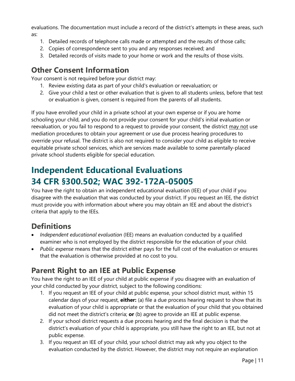evaluations. The documentation must include a record of the district's attempts in these areas, such as:

- 1. Detailed records of telephone calls made or attempted and the results of those calls;
- 2. Copies of correspondence sent to you and any responses received; and
- 3. Detailed records of visits made to your home or work and the results of those visits.

#### <span id="page-10-0"></span>**Other Consent Information**

Your consent is not required before your district may:

- 1. Review existing data as part of your child's evaluation or reevaluation; or
- 2. Give your child a test or other evaluation that is given to all students unless, before that test or evaluation is given, consent is required from the parents of all students.

If you have enrolled your child in a private school at your own expense or if you are home schooling your child, and you do not provide your consent for your child's initial evaluation or reevaluation, or you fail to respond to a request to provide your consent, the district may not use mediation procedures to obtain your agreement or use due process hearing procedures to override your refusal. The district is also not required to consider your child as eligible to receive equitable private school services, which are services made available to some parentally-placed private school students eligible for special education.

## <span id="page-10-1"></span>**Independent Educational Evaluations 34 CFR §300.502; WAC 392-172A-05005**

You have the right to obtain an independent educational evaluation (IEE) of your child if you disagree with the evaluation that was conducted by your district. If you request an IEE, the district must provide you with information about where you may obtain an IEE and about the district's criteria that apply to the IEEs.

#### <span id="page-10-2"></span>**Definitions**

- *Independent educational evaluation* (IEE) means an evaluation conducted by a qualified examiner who is not employed by the district responsible for the education of your child.
- *Public expense* means that the district either pays for the full cost of the evaluation or ensures that the evaluation is otherwise provided at no cost to you.

#### <span id="page-10-3"></span>**Parent Right to an IEE at Public Expense**

You have the right to an IEE of your child at public expense if you disagree with an evaluation of your child conducted by your district, subject to the following conditions:

- 1. If you request an IEE of your child at public expense, your school district must, within 15 calendar days of your request, **either:** (a) file a due process hearing request to show that its evaluation of your child is appropriate or that the evaluation of your child that you obtained did not meet the district's criteria; **or** (b) agree to provide an IEE at public expense.
- 2. If your school district requests a due process hearing and the final decision is that the district's evaluation of your child is appropriate, you still have the right to an IEE, but not at public expense.
- 3. If you request an IEE of your child, your school district may ask why you object to the evaluation conducted by the district. However, the district may not require an explanation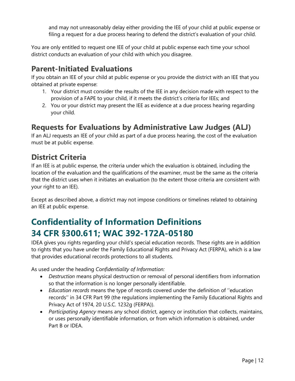and may not unreasonably delay either providing the IEE of your child at public expense or filing a request for a due process hearing to defend the district's evaluation of your child.

You are only entitled to request one IEE of your child at public expense each time your school district conducts an evaluation of your child with which you disagree.

#### <span id="page-11-0"></span>**Parent-Initiated Evaluations**

If you obtain an IEE of your child at public expense or you provide the district with an IEE that you obtained at private expense:

- 1. Your district must consider the results of the IEE in any decision made with respect to the provision of a FAPE to your child, if it meets the district's criteria for IEEs; and
- 2. You or your district may present the IEE as evidence at a due process hearing regarding your child.

#### <span id="page-11-1"></span>**Requests for Evaluations by Administrative Law Judges (ALJ)**

If an ALJ requests an IEE of your child as part of a due process hearing, the cost of the evaluation must be at public expense.

#### <span id="page-11-2"></span>**District Criteria**

If an IEE is at public expense, the criteria under which the evaluation is obtained, including the location of the evaluation and the qualifications of the examiner, must be the same as the criteria that the district uses when it initiates an evaluation (to the extent those criteria are consistent with your right to an IEE).

Except as described above, a district may not impose conditions or timelines related to obtaining an IEE at public expense.

## <span id="page-11-3"></span>**Confidentiality of Information Definitions 34 CFR §300.611; WAC 392-172A-05180**

IDEA gives you rights regarding your child's special education records. These rights are in addition to rights that you have under the Family Educational Rights and Privacy Act (FERPA), which is a law that provides educational records protections to all students.

As used under the heading *Confidentiality of Information:*

- *Destruction* means physical destruction or removal of personal identifiers from information so that the information is no longer personally identifiable.
- *Education records* means the type of records covered under the definition of ''education records'' in 34 CFR Part 99 (the regulations implementing the Family Educational Rights and Privacy Act of 1974, 20 U.S.C. 1232g (FERPA)).
- *Participating Agency* means any school district, agency or institution that collects, maintains, or uses personally identifiable information, or from which information is obtained, under Part B or IDEA.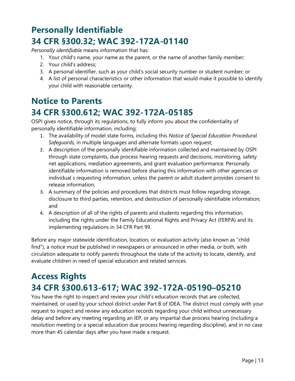## <span id="page-12-0"></span>**Personally Identifiable 34 CFR §300.32; WAC 392-172A-01140**

*Personally identifiable* means information that has:

- 1. Your child's name, your name as the parent, or the name of another family member;
- 2. Your child's address;
- 3. A personal identifier, such as your child's social security number or student number; or
- 4. A list of personal characteristics or other information that would make it possible to identify your child with reasonable certainty.

## <span id="page-12-1"></span>**Notice to Parents 34 CFR §300.612; WAC 392-172A-05185**

OSPI gives notice, through its regulations, to fully inform you about the confidentiality of personally identifiable information, including:

- 1. The availability of model state forms, including this *Notice of Special Education Procedural Safeguards*, in multiple languages and alternate formats upon request;
- 2. A description of the personally identifiable information collected and maintained by OSPI through state complaints, due process hearing requests and decisions, monitoring, safety net applications, mediation agreements, and grant evaluation performance. Personally identifiable information is removed before sharing this information with other agencies or individual s requesting information, unless the parent or adult student provides consent to release information;
- 3. A summary of the policies and procedures that districts must follow regarding storage, disclosure to third parties, retention, and destruction of personally identifiable information; and
- 4. A description of all of the rights of parents and students regarding this information, including the rights under the Family Educational Rights and Privacy Act (FERPA) and its implementing regulations in 34 CFR Part 99.

Before any major statewide identification, location, or evaluation activity (also known as "child find"), a notice must be published in newspapers or announced in other media, or both, with circulation adequate to notify parents throughout the state of the activity to locate, identify, and evaluate children in need of special education and related services.

## <span id="page-12-2"></span>**Access Rights 34 CFR §300.613-617; WAC 392-172A-05190–05210**

You have the right to inspect and review your child's education records that are collected, maintained, or used by your school district under Part B of IDEA. The district must comply with your request to inspect and review any education records regarding your child without unnecessary delay and before any meeting regarding an IEP, or any impartial due process hearing (including a resolution meeting or a special education due process hearing regarding discipline), and in no case more than 45 calendar days after you have made a request.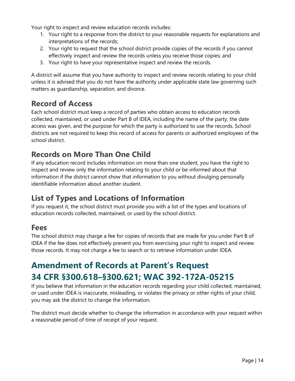Your right to inspect and review education records includes:

- 1. Your right to a response from the district to your reasonable requests for explanations and interpretations of the records;
- 2. Your right to request that the school district provide copies of the records if you cannot effectively inspect and review the records unless you receive those copies; and
- 3. Your right to have your representative inspect and review the records.

A district will assume that you have authority to inspect and review records relating to your child unless it is advised that you do not have the authority under applicable state law governing such matters as guardianship, separation, and divorce.

#### <span id="page-13-0"></span>**Record of Access**

Each school district must keep a record of parties who obtain access to education records collected, maintained, or used under Part B of IDEA, including the name of the party, the date access was given, and the purpose for which the party is authorized to use the records. School districts are not required to keep this record of access for parents or authorized employees of the school district.

#### <span id="page-13-1"></span>**Records on More Than One Child**

If any education record includes information on more than one student, you have the right to inspect and review only the information relating to your child or be informed about that information if the district cannot show that information to you without divulging personally identifiable information about another student.

#### <span id="page-13-2"></span>**List of Types and Locations of Information**

If you request it, the school district must provide you with a list of the types and locations of education records collected, maintained, or used by the school district.

#### <span id="page-13-3"></span>**Fees**

The school district may charge a fee for copies of records that are made for you under Part B of IDEA if the fee does not effectively prevent you from exercising your right to inspect and review those records. It may not charge a fee to search or to retrieve information under IDEA.

## <span id="page-13-4"></span>**Amendment of Records at Parent's Request 34 CFR §300.618–§300.621; WAC 392-172A-05215**

If you believe that information in the education records regarding your child collected, maintained, or used under IDEA is inaccurate, misleading, or violates the privacy or other rights of your child, you may ask the district to change the information.

The district must decide whether to change the information in accordance with your request within a reasonable period of time of receipt of your request.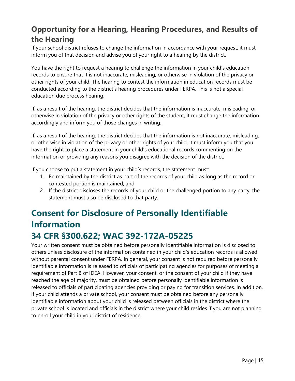## <span id="page-14-0"></span>**Opportunity for a Hearing, Hearing Procedures, and Results of the Hearing**

If your school district refuses to change the information in accordance with your request, it must inform you of that decision and advise you of your right to a hearing by the district.

You have the right to request a hearing to challenge the information in your child's education records to ensure that it is not inaccurate, misleading, or otherwise in violation of the privacy or other rights of your child. The hearing to contest the information in education records must be conducted according to the district's hearing procedures under FERPA. This is not a special education due process hearing.

If, as a result of the hearing, the district decides that the information is inaccurate, misleading, or otherwise in violation of the privacy or other rights of the student, it must change the information accordingly and inform you of those changes in writing.

If, as a result of the hearing, the district decides that the information is not inaccurate, misleading, or otherwise in violation of the privacy or other rights of your child, it must inform you that you have the right to place a statement in your child's educational records commenting on the information or providing any reasons you disagree with the decision of the district.

If you choose to put a statement in your child's records, the statement must:

- 1. Be maintained by the district as part of the records of your child as long as the record or contested portion is maintained; and
- 2. If the district discloses the records of your child or the challenged portion to any party, the statement must also be disclosed to that party.

## <span id="page-14-1"></span>**Consent for Disclosure of Personally Identifiable Information 34 CFR §300.622; WAC 392-172A-05225**

Your written consent must be obtained before personally identifiable information is disclosed to others unless disclosure of the information contained in your child's education records is allowed without parental consent under FERPA. In general, your consent is not required before personally identifiable information is released to officials of participating agencies for purposes of meeting a requirement of Part B of IDEA. However, your consent, or the consent of your child if they have reached the age of majority, must be obtained before personally identifiable information is released to officials of participating agencies providing or paying for transition services. In addition, if your child attends a private school, your consent must be obtained before any personally identifiable information about your child is released between officials in the district where the private school is located and officials in the district where your child resides if you are not planning to enroll your child in your district of residence.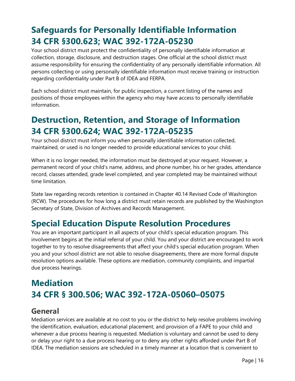## <span id="page-15-0"></span>**Safeguards for Personally Identifiable Information 34 CFR §300.623; WAC 392-172A-05230**

Your school district must protect the confidentiality of personally identifiable information at collection, storage, disclosure, and destruction stages. One official at the school district must assume responsibility for ensuring the confidentiality of any personally identifiable information. All persons collecting or using personally identifiable information must receive training or instruction regarding confidentiality under Part B of IDEA and FERPA.

Each school district must maintain, for public inspection, a current listing of the names and positions of those employees within the agency who may have access to personally identifiable information.

## <span id="page-15-1"></span>**Destruction, Retention, and Storage of Information 34 CFR §300.624; WAC 392-172A-05235**

Your school district must inform you when personally identifiable information collected, maintained, or used is no longer needed to provide educational services to your child.

When it is no longer needed, the information must be destroyed at your request. However, a permanent record of your child's name, address, and phone number, his or her grades, attendance record, classes attended, grade level completed, and year completed may be maintained without time limitation.

State law regarding records retention is contained in Chapter 40.14 Revised Code of Washington (RCW). The procedures for how long a district must retain records are published by the Washington Secretary of State, Division of Archives and Records Management.

## <span id="page-15-2"></span>**Special Education Dispute Resolution Procedures**

You are an important participant in all aspects of your child's special education program. This involvement begins at the initial referral of your child. You and your district are encouraged to work together to try to resolve disagreements that affect your child's special education program. When you and your school district are not able to resolve disagreements, there are more formal dispute resolution options available. These options are mediation, community complaints, and impartial due process hearings.

## <span id="page-15-3"></span>**Mediation 34 CFR § 300.506; WAC 392-172A-05060–05075**

#### <span id="page-15-4"></span>**General**

Mediation services are available at no cost to you or the district to help resolve problems involving the identification, evaluation, educational placement, and provision of a FAPE to your child and whenever a due process hearing is requested. Mediation is voluntary and cannot be used to deny or delay your right to a due process hearing or to deny any other rights afforded under Part B of IDEA. The mediation sessions are scheduled in a timely manner at a location that is convenient to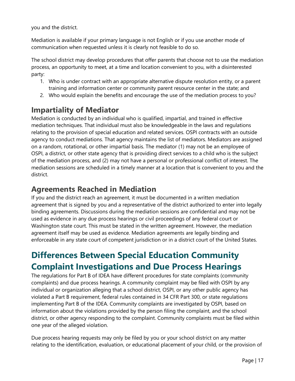you and the district.

Mediation is available if your primary language is not English or if you use another mode of communication when requested unless it is clearly not feasible to do so.

The school district may develop procedures that offer parents that choose not to use the mediation process, an opportunity to meet, at a time and location convenient to you, with a disinterested party:

- 1. Who is under contract with an appropriate alternative dispute resolution entity, or a parent training and information center or community parent resource center in the state; and
- 2. Who would explain the benefits and encourage the use of the mediation process to you?

#### <span id="page-16-0"></span>**Impartiality of Mediator**

Mediation is conducted by an individual who is qualified, impartial, and trained in effective mediation techniques. That individual must also be knowledgeable in the laws and regulations relating to the provision of special education and related services. OSPI contracts with an outside agency to conduct mediations. That agency maintains the list of mediators. Mediators are assigned on a random, rotational, or other impartial basis. The mediator (1) may not be an employee of OSPI, a district, or other state agency that is providing direct services to a child who is the subject of the mediation process, and (2) may not have a personal or professional conflict of interest. The mediation sessions are scheduled in a timely manner at a location that is convenient to you and the district.

#### <span id="page-16-1"></span>**Agreements Reached in Mediation**

If you and the district reach an agreement, it must be documented in a written mediation agreement that is signed by you and a representative of the district authorized to enter into legally binding agreements. Discussions during the mediation sessions are confidential and may not be used as evidence in any due process hearings or civil proceedings of any federal court or Washington state court. This must be stated in the written agreement. However, the mediation agreement itself may be used as evidence. Mediation agreements are legally binding and enforceable in any state court of competent jurisdiction or in a district court of the United States.

## <span id="page-16-2"></span>**Differences Between Special Education Community Complaint Investigations and Due Process Hearings**

The regulations for Part B of IDEA have different procedures for state complaints (community complaints) and due process hearings. A community complaint may be filed with OSPI by any individual or organization alleging that a school district, OSPI, or any other public agency has violated a Part B requirement, federal rules contained in 34 CFR Part 300, or state regulations implementing Part B of the IDEA. Community complaints are investigated by OSPI, based on information about the violations provided by the person filing the complaint, and the school district, or other agency responding to the complaint. Community complaints must be filed within one year of the alleged violation.

Due process hearing requests may only be filed by you or your school district on any matter relating to the identification, evaluation, or educational placement of your child, or the provision of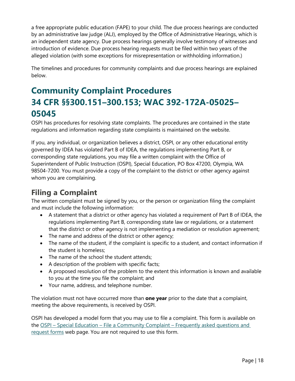a free appropriate public education (FAPE) to your child. The due process hearings are conducted by an administrative law judge (ALJ), employed by the Office of Administrative Hearings, which is an independent state agency. Due process hearings generally involve testimony of witnesses and introduction of evidence. Due process hearing requests must be filed within two years of the alleged violation (with some exceptions for misrepresentation or withholding information.)

The timelines and procedures for community complaints and due process hearings are explained below.

## <span id="page-17-0"></span>**Community Complaint Procedures 34 CFR §§300.151–300.153; WAC 392-172A-05025– 05045**

OSPI has procedures for resolving state complaints. The procedures are contained in the state regulations and information regarding state complaints is maintained on the website.

If you, any individual, or organization believes a district, OSPI, or any other educational entity governed by IDEA has violated Part B of IDEA, the regulations implementing Part B, or corresponding state regulations, you may file a written complaint with the Office of Superintendent of Public Instruction (OSPI), Special Education, PO Box 47200, Olympia, WA 98504-7200. You must provide a copy of the complaint to the district or other agency against whom you are complaining.

#### <span id="page-17-1"></span>**Filing a Complaint**

The written complaint must be signed by you, or the person or organization filing the complaint and must include the following information:

- A statement that a district or other agency has violated a requirement of Part B of IDEA, the regulations implementing Part B, corresponding state law or regulations, or a statement that the district or other agency is not implementing a mediation or resolution agreement;
- The name and address of the district or other agency;
- The name of the student, if the complaint is specific to a student, and contact information if the student is homeless;
- The name of the school the student attends:
- A description of the problem with specific facts;
- A proposed resolution of the problem to the extent this information is known and available to you at the time you file the complaint; and
- Your name, address, and telephone number.

The violation must not have occurred more than **one year** prior to the date that a complaint, meeting the above requirements, is received by OSPI.

OSPI has developed a model form that you may use to file a complaint. This form is available on the OSPI – Special Education – File a Community Complaint – Frequently asked questions and [request forms](http://www.k12.wa.us/SpecialEd/DisputeResolution/CitizenComplaint.aspx) web page. You are not required to use this form.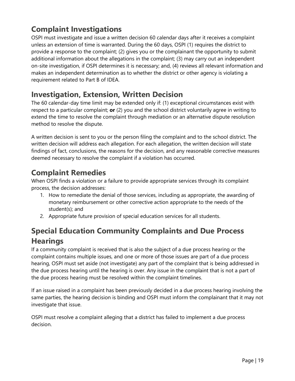#### <span id="page-18-0"></span>**Complaint Investigations**

OSPI must investigate and issue a written decision 60 calendar days after it receives a complaint unless an extension of time is warranted. During the 60 days, OSPI (1) requires the district to provide a response to the complaint; (2) gives you or the complainant the opportunity to submit additional information about the allegations in the complaint; (3) may carry out an independent on-site investigation, if OSPI determines it is necessary; and, (4) reviews all relevant information and makes an independent determination as to whether the district or other agency is violating a requirement related to Part B of IDEA.

#### <span id="page-18-1"></span>**Investigation, Extension, Written Decision**

The 60 calendar-day time limit may be extended only if: (1) exceptional circumstances exist with respect to a particular complaint; **or** (2) you and the school district voluntarily agree in writing to extend the time to resolve the complaint through mediation or an alternative dispute resolution method to resolve the dispute.

A written decision is sent to you or the person filing the complaint and to the school district. The written decision will address each allegation. For each allegation, the written decision will state findings of fact, conclusions, the reasons for the decision, and any reasonable corrective measures deemed necessary to resolve the complaint if a violation has occurred.

#### <span id="page-18-2"></span>**Complaint Remedies**

When OSPI finds a violation or a failure to provide appropriate services through its complaint process, the decision addresses:

- 1. How to remediate the denial of those services, including as appropriate, the awarding of monetary reimbursement or other corrective action appropriate to the needs of the student(s); and
- 2. Appropriate future provision of special education services for all students.

## <span id="page-18-3"></span>**Special Education Community Complaints and Due Process Hearings**

If a community complaint is received that is also the subject of a due process hearing or the complaint contains multiple issues, and one or more of those issues are part of a due process hearing, OSPI must set aside (not investigate) any part of the complaint that is being addressed in the due process hearing until the hearing is over. Any issue in the complaint that is not a part of the due process hearing must be resolved within the complaint timelines.

If an issue raised in a complaint has been previously decided in a due process hearing involving the same parties, the hearing decision is binding and OSPI must inform the complainant that it may not investigate that issue.

OSPI must resolve a complaint alleging that a district has failed to implement a due process decision.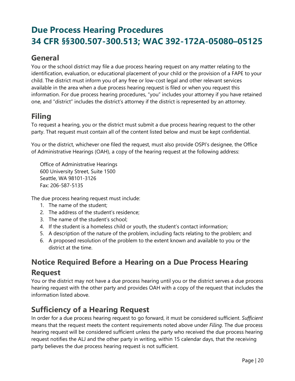## <span id="page-19-0"></span>**Due Process Hearing Procedures 34 CFR §§300.507-300.513; WAC 392-172A-05080–05125**

#### <span id="page-19-1"></span>**General**

You or the school district may file a due process hearing request on any matter relating to the identification, evaluation, or educational placement of your child or the provision of a FAPE to your child. The district must inform you of any free or low-cost legal and other relevant services available in the area when a due process hearing request is filed or when you request this information. For due process hearing procedures, "you" includes your attorney if you have retained one, and "district" includes the district's attorney if the district is represented by an attorney.

## <span id="page-19-2"></span>**Filing**

To request a hearing, you or the district must submit a due process hearing request to the other party. That request must contain all of the content listed below and must be kept confidential.

You or the district, whichever one filed the request, must also provide OSPI's designee, the Office of Administrative Hearings (OAH), a copy of the hearing request at the following address:

Office of Administrative Hearings 600 University Street, Suite 1500 Seattle, WA 98101-3126 Fax: 206-587-5135

The due process hearing request must include:

- 1. The name of the student;
- 2. The address of the student's residence;
- 3. The name of the student's school;
- 4. If the student is a homeless child or youth, the student's contact information;
- 5. A description of the nature of the problem, including facts relating to the problem; and
- 6. A proposed resolution of the problem to the extent known and available to you or the district at the time.

## <span id="page-19-3"></span>**Notice Required Before a Hearing on a Due Process Hearing Request**

You or the district may not have a due process hearing until you or the district serves a due process hearing request with the other party and provides OAH with a copy of the request that includes the information listed above.

#### <span id="page-19-4"></span>**Sufficiency of a Hearing Request**

In order for a due process hearing request to go forward, it must be considered sufficient. *Sufficient*  means that the request meets the content requirements noted above under *Filing*. The due process hearing request will be considered sufficient unless the party who received the due process hearing request notifies the ALJ and the other party in writing, within 15 calendar days, that the receiving party believes the due process hearing request is not sufficient.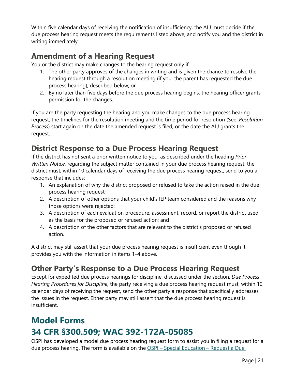Within five calendar days of receiving the notification of insufficiency, the ALJ must decide if the due process hearing request meets the requirements listed above, and notify you and the district in writing immediately.

#### <span id="page-20-0"></span>**Amendment of a Hearing Request**

You or the district may make changes to the hearing request only if:

- 1. The other party approves of the changes in writing and is given the chance to resolve the hearing request through a resolution meeting (if you, the parent has requested the due process hearing), described below; or
- 2. By no later than five days before the due process hearing begins, the hearing officer grants permission for the changes.

If you are the party requesting the hearing and you make changes to the due process hearing request, the timelines for the resolution meeting and the time period for resolution (See: *Resolution Process*) start again on the date the amended request is filed, or the date the ALJ grants the request.

#### <span id="page-20-1"></span>**District Response to a Due Process Hearing Request**

If the district has not sent a prior written notice to you, as described under the heading *Prior Written Notice*, regarding the subject matter contained in your due process hearing request, the district must, within 10 calendar days of receiving the due process hearing request, send to you a response that includes:

- 1. An explanation of why the district proposed or refused to take the action raised in the due process hearing request;
- 2. A description of other options that your child's IEP team considered and the reasons why those options were rejected;
- 3. A description of each evaluation procedure, assessment, record, or report the district used as the basis for the proposed or refused action; and
- 4. A description of the other factors that are relevant to the district's proposed or refused action.

A district may still assert that your due process hearing request is insufficient even though it provides you with the information in items 1–4 above.

#### <span id="page-20-2"></span>**Other Party's Response to a Due Process Hearing Request**

Except for expedited due process hearings for discipline, discussed under the section, *Due Process Hearing Procedures for Discipline,* the party receiving a due process hearing request must, within 10 calendar days of receiving the request, send the other party a response that specifically addresses the issues in the request. Either party may still assert that the due process hearing request is insufficient.

## <span id="page-20-3"></span>**Model Forms 34 CFR §300.509; WAC 392-172A-05085**

OSPI has developed a model due process hearing request form to assist you in filing a request for a due process hearing. The form is available on the OSPI - Special Education - Request a Due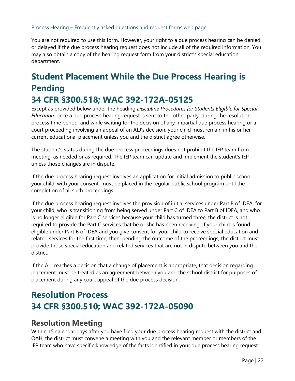You are not required to use this form. However, your right to a due process hearing can be denied or delayed if the due process hearing request does not include all of the required information. You may also obtain a copy of the hearing request form from your district's special education department.

## <span id="page-21-0"></span>**Student Placement While the Due Process Hearing is Pending 34 CFR §300.518; WAC 392-172A-05125**

Except as provided below under the heading *Discipline Procedures for Students Eligible for Special Education,* once a due process hearing request is sent to the other party, during the resolution process time period, and while waiting for the decision of any impartial due process hearing or a court proceeding involving an appeal of an ALJ's decision, your child must remain in his or her current educational placement unless you and the district agree otherwise.

The student's status during the due process proceedings does not prohibit the IEP team from meeting, as needed or as required. The IEP team can update and implement the student's IEP unless those changes are in dispute.

If the due process hearing request involves an application for initial admission to public school, your child, with your consent, must be placed in the regular public school program until the completion of all such proceedings.

If the due process hearing request involves the provision of initial services under Part B of IDEA, for your child, who is transitioning from being served under Part C of IDEA to Part B of IDEA, and who is no longer eligible for Part C services because your child has turned three, the district is not required to provide the Part C services that he or she has been receiving. If your child is found eligible under Part B of IDEA and you give consent for your child to receive special education and related services for the first time, then, pending the outcome of the proceedings, the district must provide those special education and related services that are not in dispute between you and the district.

If the ALJ reaches a decision that a change of placement is appropriate, that decision regarding placement must be treated as an agreement between you and the school district for purposes of placement during any court appeal of the due process decision.

## <span id="page-21-1"></span>**Resolution Process 34 CFR §300.510; WAC 392-172A-05090**

#### <span id="page-21-2"></span>**Resolution Meeting**

Within 15 calendar days after you have filed your due process hearing request with the district and OAH, the district must convene a meeting with you and the relevant member or members of the IEP team who have specific knowledge of the facts identified in your due process hearing request.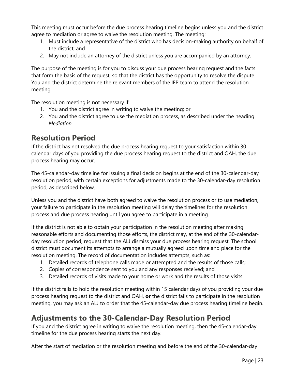This meeting must occur before the due process hearing timeline begins unless you and the district agree to mediation or agree to waive the resolution meeting. The meeting:

- 1. Must include a representative of the district who has decision-making authority on behalf of the district; and
- 2. May not include an attorney of the district unless you are accompanied by an attorney.

The purpose of the meeting is for you to discuss your due process hearing request and the facts that form the basis of the request, so that the district has the opportunity to resolve the dispute. You and the district determine the relevant members of the IEP team to attend the resolution meeting.

The resolution meeting is not necessary if:

- 1. You and the district agree in writing to waive the meeting; or
- 2. You and the district agree to use the mediation process, as described under the heading *Mediation.*

#### <span id="page-22-0"></span>**Resolution Period**

If the district has not resolved the due process hearing request to your satisfaction within 30 calendar days of you providing the due process hearing request to the district and OAH, the due process hearing may occur.

The 45-calendar-day timeline for issuing a final decision begins at the end of the 30-calendar-day resolution period, with certain exceptions for adjustments made to the 30-calendar-day resolution period, as described below.

Unless you and the district have both agreed to waive the resolution process or to use mediation, your failure to participate in the resolution meeting will delay the timelines for the resolution process and due process hearing until you agree to participate in a meeting.

If the district is not able to obtain your participation in the resolution meeting after making reasonable efforts and documenting those efforts, the district may, at the end of the 30-calendarday resolution period, request that the ALJ dismiss your due process hearing request. The school district must document its attempts to arrange a mutually agreed upon time and place for the resolution meeting. The record of documentation includes attempts, such as:

- 1. Detailed records of telephone calls made or attempted and the results of those calls;
- 2. Copies of correspondence sent to you and any responses received; and
- 3. Detailed records of visits made to your home or work and the results of those visits.

If the district fails to hold the resolution meeting within 15 calendar days of you providing your due process hearing request to the district and OAH, **or** the district fails to participate in the resolution meeting, you may ask an ALJ to order that the 45-calendar-day due process hearing timeline begin.

#### <span id="page-22-1"></span>**Adjustments to the 30-Calendar-Day Resolution Period**

If you and the district agree in writing to waive the resolution meeting, then the 45-calendar-day timeline for the due process hearing starts the next day.

After the start of mediation or the resolution meeting and before the end of the 30-calendar-day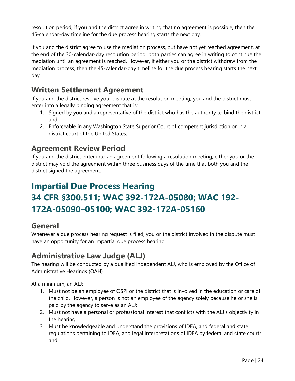resolution period, if you and the district agree in writing that no agreement is possible, then the 45-calendar-day timeline for the due process hearing starts the next day.

If you and the district agree to use the mediation process, but have not yet reached agreement, at the end of the 30-calendar-day resolution period, both parties can agree in writing to continue the mediation until an agreement is reached. However, if either you or the district withdraw from the mediation process, then the 45-calendar-day timeline for the due process hearing starts the next day.

#### <span id="page-23-0"></span>**Written Settlement Agreement**

If you and the district resolve your dispute at the resolution meeting, you and the district must enter into a legally binding agreement that is:

- 1. Signed by you and a representative of the district who has the authority to bind the district; and
- 2. Enforceable in any Washington State Superior Court of competent jurisdiction or in a district court of the United States.

#### <span id="page-23-1"></span>**Agreement Review Period**

If you and the district enter into an agreement following a resolution meeting, either you or the district may void the agreement within three business days of the time that both you and the district signed the agreement.

## <span id="page-23-2"></span>**Impartial Due Process Hearing 34 CFR §300.511; WAC 392-172A-05080; WAC 192- 172A-05090–05100; WAC 392-172A-05160**

#### <span id="page-23-3"></span>**General**

Whenever a due process hearing request is filed, you or the district involved in the dispute must have an opportunity for an impartial due process hearing.

#### <span id="page-23-4"></span>**Administrative Law Judge (ALJ)**

The hearing will be conducted by a qualified independent ALJ, who is employed by the Office of Administrative Hearings (OAH).

At a minimum, an ALJ:

- 1. Must not be an employee of OSPI or the district that is involved in the education or care of the child. However, a person is not an employee of the agency solely because he or she is paid by the agency to serve as an ALJ;
- 2. Must not have a personal or professional interest that conflicts with the ALJ's objectivity in the hearing;
- 3. Must be knowledgeable and understand the provisions of IDEA, and federal and state regulations pertaining to IDEA, and legal interpretations of IDEA by federal and state courts; and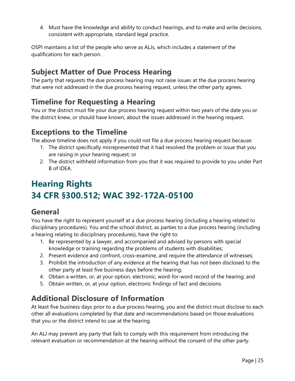4. Must have the knowledge and ability to conduct hearings, and to make and write decisions, consistent with appropriate, standard legal practice.

OSPI maintains a list of the people who serve as ALJs, which includes a statement of the qualifications for each person.

#### <span id="page-24-0"></span>**Subject Matter of Due Process Hearing**

The party that requests the due process hearing may not raise issues at the due process hearing that were not addressed in the due process hearing request, unless the other party agrees.

#### <span id="page-24-1"></span>**Timeline for Requesting a Hearing**

You or the district must file your due process hearing request within two years of the date you or the district knew, or should have known, about the issues addressed in the hearing request.

#### <span id="page-24-2"></span>**Exceptions to the Timeline**

The above timeline does not apply if you could not file a due process hearing request because:

- 1. The district specifically misrepresented that it had resolved the problem or issue that you are raising in your hearing request; or
- 2. The district withheld information from you that it was required to provide to you under Part B of IDEA.

## <span id="page-24-3"></span>**Hearing Rights 34 CFR §300.512; WAC 392-172A-05100**

#### <span id="page-24-4"></span>**General**

You have the right to represent yourself at a due process hearing (including a hearing related to disciplinary procedures). You and the school district, as parties to a due process hearing (including a hearing relating to disciplinary procedures), have the right to:

- 1. Be represented by a lawyer, and accompanied and advised by persons with special knowledge or training regarding the problems of students with disabilities;
- 2. Present evidence and confront, cross-examine, and require the attendance of witnesses;
- 3. Prohibit the introduction of any evidence at the hearing that has not been disclosed to the other party at least five business days before the hearing;
- 4. Obtain a written, or, at your option, electronic, word-for-word record of the hearing; and
- 5. Obtain written, or, at your option, electronic findings of fact and decisions.

#### <span id="page-24-5"></span>**Additional Disclosure of Information**

At least five business days prior to a due process hearing, you and the district must disclose to each other all evaluations completed by that date and recommendations based on those evaluations that you or the district intend to use at the hearing.

An ALJ may prevent any party that fails to comply with this requirement from introducing the relevant evaluation or recommendation at the hearing without the consent of the other party.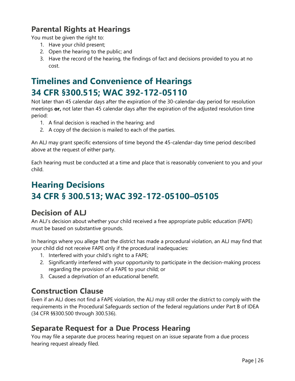#### <span id="page-25-0"></span>**Parental Rights at Hearings**

You must be given the right to:

- 1. Have your child present;
- 2. Open the hearing to the public; and
- 3. Have the record of the hearing, the findings of fact and decisions provided to you at no cost.

## <span id="page-25-1"></span>**Timelines and Convenience of Hearings 34 CFR §300.515; WAC 392-172-05110**

Not later than 45 calendar days after the expiration of the 30-calendar-day period for resolution meetings **or,** not later than 45 calendar days after the expiration of the adjusted resolution time period:

- 1. A final decision is reached in the hearing; and
- 2. A copy of the decision is mailed to each of the parties.

An ALJ may grant specific extensions of time beyond the 45-calendar-day time period described above at the request of either party.

Each hearing must be conducted at a time and place that is reasonably convenient to you and your child.

## <span id="page-25-2"></span>**Hearing Decisions 34 CFR § 300.513; WAC 392-172-05100–05105**

#### <span id="page-25-3"></span>**Decision of ALJ**

An ALJ's decision about whether your child received a free appropriate public education (FAPE) must be based on substantive grounds.

In hearings where you allege that the district has made a procedural violation, an ALJ may find that your child did not receive FAPE only if the procedural inadequacies:

- 1. Interfered with your child's right to a FAPE;
- 2. Significantly interfered with your opportunity to participate in the decision-making process regarding the provision of a FAPE to your child; or
- 3. Caused a deprivation of an educational benefit.

#### <span id="page-25-4"></span>**Construction Clause**

Even if an ALJ does not find a FAPE violation, the ALJ may still order the district to comply with the requirements in the Procedural Safeguards section of the federal regulations under Part B of IDEA (34 CFR §§300.500 through 300.536).

#### <span id="page-25-5"></span>**Separate Request for a Due Process Hearing**

You may file a separate due process hearing request on an issue separate from a due process hearing request already filed.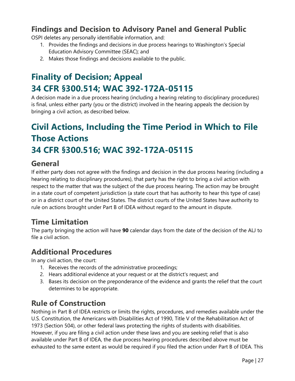#### <span id="page-26-0"></span>**Findings and Decision to Advisory Panel and General Public**

OSPI deletes any personally identifiable information, and:

- 1. Provides the findings and decisions in due process hearings to Washington's Special Education Advisory Committee (SEAC); and
- 2. Makes those findings and decisions available to the public.

## <span id="page-26-1"></span>**Finality of Decision; Appeal 34 CFR §300.514; WAC 392-172A-05115**

A decision made in a due process hearing (including a hearing relating to disciplinary procedures) is final, unless either party (you or the district) involved in the hearing appeals the decision by bringing a civil action, as described below.

## <span id="page-26-2"></span>**Civil Actions, Including the Time Period in Which to File Those Actions 34 CFR §300.516; WAC 392-172A-05115**

#### <span id="page-26-3"></span>**General**

If either party does not agree with the findings and decision in the due process hearing (including a hearing relating to disciplinary procedures), that party has the right to bring a civil action with respect to the matter that was the subject of the due process hearing. The action may be brought in a state court of competent jurisdiction (a state court that has authority to hear this type of case) or in a district court of the United States. The district courts of the United States have authority to rule on actions brought under Part B of IDEA without regard to the amount in dispute.

#### <span id="page-26-4"></span>**Time Limitation**

The party bringing the action will have **90** calendar days from the date of the decision of the ALJ to file a civil action.

#### <span id="page-26-5"></span>**Additional Procedures**

In any civil action, the court:

- 1. Receives the records of the administrative proceedings;
- 2. Hears additional evidence at your request or at the district's request; and
- 3. Bases its decision on the preponderance of the evidence and grants the relief that the court determines to be appropriate.

#### <span id="page-26-6"></span>**Rule of Construction**

Nothing in Part B of IDEA restricts or limits the rights, procedures, and remedies available under the U.S. Constitution, the Americans with Disabilities Act of 1990, Title V of the Rehabilitation Act of 1973 (Section 504), or other federal laws protecting the rights of students with disabilities. However, if you are filing a civil action under these laws and you are seeking relief that is also available under Part B of IDEA, the due process hearing procedures described above must be exhausted to the same extent as would be required if you filed the action under Part B of IDEA. This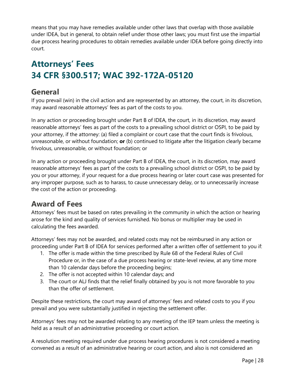means that you may have remedies available under other laws that overlap with those available under IDEA, but in general, to obtain relief under those other laws; you must first use the impartial due process hearing procedures to obtain remedies available under IDEA before going directly into court.

## <span id="page-27-0"></span>**Attorneys' Fees 34 CFR §300.517; WAC 392-172A-05120**

#### <span id="page-27-1"></span>**General**

If you prevail (win) in the civil action and are represented by an attorney, the court, in its discretion, may award reasonable attorneys' fees as part of the costs to you.

In any action or proceeding brought under Part B of IDEA, the court, in its discretion, may award reasonable attorneys' fees as part of the costs to a prevailing school district or OSPI, to be paid by your attorney, if the attorney: (a) filed a complaint or court case that the court finds is frivolous, unreasonable, or without foundation; **or** (b) continued to litigate after the litigation clearly became frivolous, unreasonable, or without foundation; or

In any action or proceeding brought under Part B of IDEA, the court, in its discretion, may award reasonable attorneys' fees as part of the costs to a prevailing school district or OSPI, to be paid by you or your attorney, if your request for a due process hearing or later court case was presented for any improper purpose, such as to harass, to cause unnecessary delay, or to unnecessarily increase the cost of the action or proceeding.

#### <span id="page-27-2"></span>**Award of Fees**

Attorneys' fees must be based on rates prevailing in the community in which the action or hearing arose for the kind and quality of services furnished. No bonus or multiplier may be used in calculating the fees awarded.

Attorneys' fees may not be awarded, and related costs may not be reimbursed in any action or proceeding under Part B of IDEA for services performed after a written offer of settlement to you if:

- 1. The offer is made within the time prescribed by Rule 68 of the Federal Rules of Civil Procedure or, in the case of a due process hearing or state-level review, at any time more than 10 calendar days before the proceeding begins;
- 2. The offer is not accepted within 10 calendar days; and
- 3. The court or ALJ finds that the relief finally obtained by you is not more favorable to you than the offer of settlement.

Despite these restrictions, the court may award of attorneys' fees and related costs to you if you prevail and you were substantially justified in rejecting the settlement offer.

Attorneys' fees may not be awarded relating to any meeting of the IEP team unless the meeting is held as a result of an administrative proceeding or court action.

A resolution meeting required under due process hearing procedures is not considered a meeting convened as a result of an administrative hearing or court action, and also is not considered an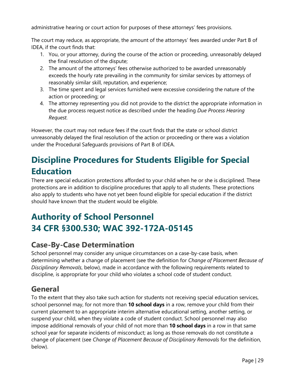administrative hearing or court action for purposes of these attorneys' fees provisions.

The court may reduce, as appropriate, the amount of the attorneys' fees awarded under Part B of IDEA, if the court finds that:

- 1. You, or your attorney, during the course of the action or proceeding, unreasonably delayed the final resolution of the dispute;
- 2. The amount of the attorneys' fees otherwise authorized to be awarded unreasonably exceeds the hourly rate prevailing in the community for similar services by attorneys of reasonably similar skill, reputation, and experience;
- 3. The time spent and legal services furnished were excessive considering the nature of the action or proceeding; or
- 4. The attorney representing you did not provide to the district the appropriate information in the due process request notice as described under the heading *Due Process Hearing Request.*

However, the court may not reduce fees if the court finds that the state or school district unreasonably delayed the final resolution of the action or proceeding or there was a violation under the Procedural Safeguards provisions of Part B of IDEA.

## <span id="page-28-0"></span>**Discipline Procedures for Students Eligible for Special Education**

There are special education protections afforded to your child when he or she is disciplined. These protections are in addition to discipline procedures that apply to all students. These protections also apply to students who have not yet been found eligible for special education if the district should have known that the student would be eligible.

## <span id="page-28-1"></span>**Authority of School Personnel 34 CFR §300.530; WAC 392-172A-05145**

#### <span id="page-28-2"></span>**Case-By-Case Determination**

School personnel may consider any unique circumstances on a case-by-case basis, when determining whether a change of placement (see the definition for *Change of Placement Because of Disciplinary Removals*, below), made in accordance with the following requirements related to discipline, is appropriate for your child who violates a school code of student conduct.

#### <span id="page-28-3"></span>**General**

To the extent that they also take such action for students not receiving special education services, school personnel may, for not more than **10 school days** in a row, remove your child from their current placement to an appropriate interim alternative educational setting, another setting, or suspend your child, when they violate a code of student conduct. School personnel may also impose additional removals of your child of not more than **10 school days** in a row in that same school year for separate incidents of misconduct; as long as those removals do not constitute a change of placement (see *Change of Placement Because of Disciplinary Removals* for the definition, below).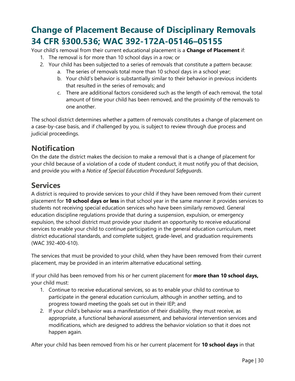## <span id="page-29-0"></span>**Change of Placement Because of Disciplinary Removals 34 CFR §300.536; WAC 392-172A-05146–05155**

Your child's removal from their current educational placement is a **Change of Placement** if:

- 1. The removal is for more than 10 school days in a row; or
- 2. Your child has been subjected to a series of removals that constitute a pattern because:
	- a. The series of removals total more than 10 school days in a school year;
	- b. Your child's behavior is substantially similar to their behavior in previous incidents that resulted in the series of removals; and
	- c. There are additional factors considered such as the length of each removal, the total amount of time your child has been removed, and the proximity of the removals to one another.

The school district determines whether a pattern of removals constitutes a change of placement on a case-by-case basis, and if challenged by you, is subject to review through due process and judicial proceedings.

#### <span id="page-29-1"></span>**Notification**

On the date the district makes the decision to make a removal that is a change of placement for your child because of a violation of a code of student conduct, it must notify you of that decision, and provide you with a *Notice of Special Education Procedural Safeguards*.

#### <span id="page-29-2"></span>**Services**

A district is required to provide services to your child if they have been removed from their current placement for **10 school days or less** in that school year in the same manner it provides services to students not receiving special education services who have been similarly removed. General education discipline regulations provide that during a suspension, expulsion, or emergency expulsion, the school district must provide your student an opportunity to receive educational services to enable your child to continue participating in the general education curriculum, meet district educational standards, and complete subject, grade-level, and graduation requirements (WAC 392-400-610).

The services that must be provided to your child, when they have been removed from their current placement, may be provided in an interim alternative educational setting.

If your child has been removed from his or her current placement for **more than 10 school days,** your child must:

- 1. Continue to receive educational services, so as to enable your child to continue to participate in the general education curriculum, although in another setting, and to progress toward meeting the goals set out in their IEP; and
- 2. If your child's behavior was a manifestation of their disability, they must receive, as appropriate, a functional behavioral assessment, and behavioral intervention services and modifications, which are designed to address the behavior violation so that it does not happen again.

After your child has been removed from his or her current placement for **10 school days** in that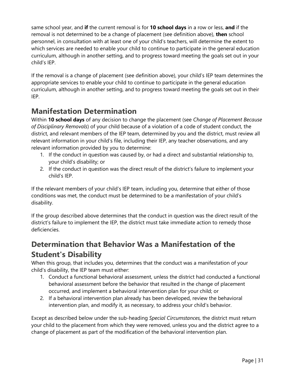same school year, and **if** the current removal is for **10 school days** in a row or less, **and** if the removal is not determined to be a change of placement (see definition above), **then** school personnel, in consultation with at least one of your child's teachers, will determine the extent to which services are needed to enable your child to continue to participate in the general education curriculum, although in another setting, and to progress toward meeting the goals set out in your child's IEP.

If the removal is a change of placement (see definition above), your child's IEP team determines the appropriate services to enable your child to continue to participate in the general education curriculum, although in another setting, and to progress toward meeting the goals set out in their IEP.

#### <span id="page-30-0"></span>**Manifestation Determination**

Within **10 school days** of any decision to change the placement (see *Change of Placement Because of Disciplinary Removals*) of your child because of a violation of a code of student conduct, the district, and relevant members of the IEP team, determined by you and the district, must review all relevant information in your child's file, including their IEP, any teacher observations, and any relevant information provided by you to determine:

- 1. If the conduct in question was caused by, or had a direct and substantial relationship to, your child's disability; or
- 2. If the conduct in question was the direct result of the district's failure to implement your child's IEP.

If the relevant members of your child's IEP team, including you, determine that either of those conditions was met, the conduct must be determined to be a manifestation of your child's disability.

If the group described above determines that the conduct in question was the direct result of the district's failure to implement the IEP, the district must take immediate action to remedy those deficiencies.

### <span id="page-30-1"></span>**Determination that Behavior Was a Manifestation of the Student's Disability**

When this group, that includes you, determines that the conduct was a manifestation of your child's disability, the IEP team must either:

- 1. Conduct a functional behavioral assessment, unless the district had conducted a functional behavioral assessment before the behavior that resulted in the change of placement occurred, and implement a behavioral intervention plan for your child; or
- 2. If a behavioral intervention plan already has been developed, review the behavioral intervention plan, and modify it, as necessary, to address your child's behavior.

Except as described below under the sub-heading *Special Circumstances,* the district must return your child to the placement from which they were removed, unless you and the district agree to a change of placement as part of the modification of the behavioral intervention plan.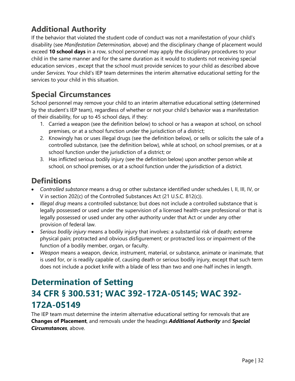#### <span id="page-31-0"></span>**Additional Authority**

If the behavior that violated the student code of conduct was not a manifestation of your child's disability (see *Manifestation Determination,* above) and the disciplinary change of placement would exceed **10 school days** in a row, school personnel may apply the disciplinary procedures to your child in the same manner and for the same duration as it would to students not receiving special education services , except that the school must provide services to your child as described above under *Services.* Your child's IEP team determines the interim alternative educational setting for the services to your child in this situation.

#### <span id="page-31-1"></span>**Special Circumstances**

School personnel may remove your child to an interim alternative educational setting (determined by the student's IEP team), regardless of whether or not your child's behavior was a manifestation of their disability, for up to 45 school days, if they:

- 1. Carried a weapon (see the definition below) to school or has a weapon at school, on school premises, or at a school function under the jurisdiction of a district;
- 2. Knowingly has or uses illegal drugs (see the definition below), or sells or solicits the sale of a controlled substance, (see the definition below), while at school, on school premises, or at a school function under the jurisdiction of a district; or
- 3. Has inflicted serious bodily injury (see the definition below) upon another person while at school, on school premises, or at a school function under the jurisdiction of a district.

#### <span id="page-31-2"></span>**Definitions**

- *Controlled substance* means a drug or other substance identified under schedules I, II, III, IV, or V in section 202(c) of the Controlled Substances Act (21 U.S.C. 812(c)).
- *Illegal drug* means a controlled substance; but does not include a controlled substance that is legally possessed or used under the supervision of a licensed health-care professional or that is legally possessed or used under any other authority under that Act or under any other provision of federal law.
- *Serious bodily injury* means a bodily injury that involves: a substantial risk of death*;* extreme physical pain; protracted and obvious disfigurement; or protracted loss or impairment of the function of a bodily member, organ, or faculty.
- *Weapon* means a weapon, device, instrument, material, or substance, animate or inanimate, that is used for, or is readily capable of, causing death or serious bodily injury, except that such term does not include a pocket knife with a blade of less than two and one-half inches in length.

## <span id="page-31-3"></span>**Determination of Setting 34 CFR § 300.531; WAC 392-172A-05145; WAC 392- 172A-05149**

The IEP team must determine the interim alternative educational setting for removals that are **Changes of Placement**, and removals under the headings *Additional Authority* and *Special Circumstances*, above.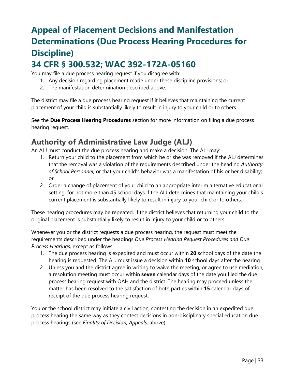## <span id="page-32-0"></span>**Appeal of Placement Decisions and Manifestation Determinations (Due Process Hearing Procedures for Discipline)**

## **34 CFR § 300.532; WAC 392-172A-05160**

You may file a due process hearing request if you disagree with:

- 1. Any decision regarding placement made under these discipline provisions; or
- 2. The manifestation determination described above.

The district may file a due process hearing request if it believes that maintaining the current placement of your child is substantially likely to result in injury to your child or to others.

See the **Due Process Hearing Procedures** section for more information on filing a due process hearing request.

#### <span id="page-32-1"></span>**Authority of Administrative Law Judge (ALJ)**

An ALJ must conduct the due process hearing and make a decision. The ALJ may:

- 1. Return your child to the placement from which he or she was removed if the ALJ determines that the removal was a violation of the requirements described under the heading *Authority of School Personnel,* or that your child's behavior was a manifestation of his or her disability; or
- 2. Order a change of placement of your child to an appropriate interim alternative educational setting, for not more than 45 school days if the ALJ determines that maintaining your child's current placement is substantially likely to result in injury to your child or to others.

These hearing procedures may be repeated, if the district believes that returning your child to the original placement is substantially likely to result in injury to your child or to others.

Whenever you or the district requests a due process hearing, the request must meet the requirements described under the headings *Due Process Hearing Request Procedures and Due Process Hearings,* except as follows:

- 1. The due process hearing is expedited and must occur within **20** school days of the date the hearing is requested. The ALJ must issue a decision within **10** school days after the hearing.
- 2. Unless you and the district agree in writing to waive the meeting, or agree to use mediation, a resolution meeting must occur within **seven** calendar days of the date you filed the due process hearing request with OAH and the district. The hearing may proceed unless the matter has been resolved to the satisfaction of both parties within **15** calendar days of receipt of the due process hearing request.

You or the school district may initiate a civil action, contesting the decision in an expedited due process hearing the same way as they contest decisions in non-disciplinary special education due process hearings (see *Finality of Decision; Appeals,* above).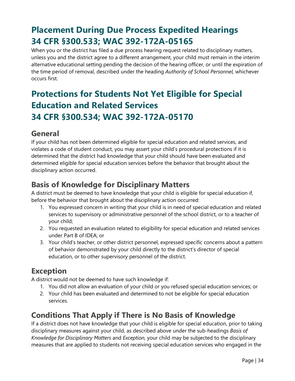## <span id="page-33-0"></span>**Placement During Due Process Expedited Hearings 34 CFR §300.533; WAC 392-172A-05165**

When you or the district has filed a due process hearing request related to disciplinary matters, unless you and the district agree to a different arrangement, your child must remain in the interim alternative educational setting pending the decision of the hearing officer, or until the expiration of the time period of removal, described under the heading *Authority of School Personnel,* whichever occurs first.

## <span id="page-33-1"></span>**Protections for Students Not Yet Eligible for Special Education and Related Services 34 CFR §300.534; WAC 392-172A-05170**

#### <span id="page-33-2"></span>**General**

If your child has not been determined eligible for special education and related services, and violates a code of student conduct, you may assert your child's procedural protections if it is determined that the district had knowledge that your child should have been evaluated and determined eligible for special education services before the behavior that brought about the disciplinary action occurred.

#### <span id="page-33-3"></span>**Basis of Knowledge for Disciplinary Matters**

A district must be deemed to have knowledge that your child is eligible for special education if, before the behavior that brought about the disciplinary action occurred:

- 1. You expressed concern in writing that your child is in need of special education and related services to supervisory or administrative personnel of the school district, or to a teacher of your child;
- 2. You requested an evaluation related to eligibility for special education and related services under Part B of IDEA; or
- 3. Your child's teacher, or other district personnel, expressed specific concerns about a pattern of behavior demonstrated by your child directly to the district's director of special education, or to other supervisory personnel of the district.

#### <span id="page-33-4"></span>**Exception**

A district would not be deemed to have such knowledge if:

- 1. You did not allow an evaluation of your child or you refused special education services; or
- 2. Your child has been evaluated and determined to not be eligible for special education services.

#### <span id="page-33-5"></span>**Conditions That Apply if There is No Basis of Knowledge**

If a district does not have knowledge that your child is eligible for special education, prior to taking disciplinary measures against your child, as described above under the sub-headings *Basis of Knowledge for Disciplinary Matters* and *Exception,* your child may be subjected to the disciplinary measures that are applied to students not receiving special education services who engaged in the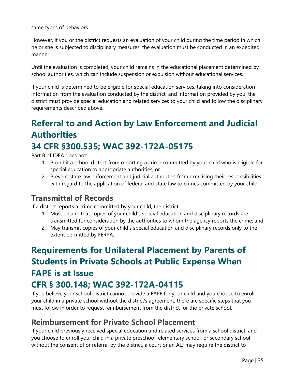same types of behaviors.

However, if you or the district requests an evaluation of your child during the time period in which he or she is subjected to disciplinary measures, the evaluation must be conducted in an expedited manner.

Until the evaluation is completed, your child remains in the educational placement determined by school authorities, which can include suspension or expulsion without educational services.

If your child is determined to be eligible for special education services, taking into consideration information from the evaluation conducted by the district, and information provided by you, the district must provide special education and related services to your child and follow the disciplinary requirements described above.

## <span id="page-34-0"></span>**Referral to and Action by Law Enforcement and Judicial Authorities 34 CFR §300.535; WAC 392-172A-05175**

Part B of IDEA does not:

- 1. Prohibit a school district from reporting a crime committed by your child who is eligible for special education to appropriate authorities; or
- 2. Prevent state law enforcement and judicial authorities from exercising their responsibilities with regard to the application of federal and state law to crimes committed by your child.

#### <span id="page-34-1"></span>**Transmittal of Records**

If a district reports a crime committed by your child, the district:

- 1. Must ensure that copies of your child's special education and disciplinary records are transmitted for consideration by the authorities to whom the agency reports the crime; and
- 2. May transmit copies of your child's special education and disciplinary records only to the extent permitted by FERPA.

## <span id="page-34-2"></span>**Requirements for Unilateral Placement by Parents of Students in Private Schools at Public Expense When FAPE is at Issue**

## **CFR § 300.148; WAC 392-172A-04115**

If you believe your school district cannot provide a FAPE for your child and you choose to enroll your child in a private school without the district's agreement, there are specific steps that you must follow in order to request reimbursement from the district for the private school.

#### <span id="page-34-3"></span>**Reimbursement for Private School Placement**

If your child previously received special education and related services from a school district, and you choose to enroll your child in a private preschool, elementary school, or secondary school without the consent of or referral by the district, a court or an ALJ may require the district to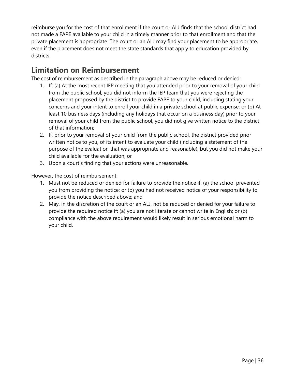reimburse you for the cost of that enrollment if the court or ALJ finds that the school district had not made a FAPE available to your child in a timely manner prior to that enrollment and that the private placement is appropriate. The court or an ALJ may find your placement to be appropriate, even if the placement does not meet the state standards that apply to education provided by districts.

#### <span id="page-35-0"></span>**Limitation on Reimbursement**

The cost of reimbursement as described in the paragraph above may be reduced or denied:

- 1. If: (a) At the most recent IEP meeting that you attended prior to your removal of your child from the public school, you did not inform the IEP team that you were rejecting the placement proposed by the district to provide FAPE to your child, including stating your concerns and your intent to enroll your child in a private school at public expense; or (b) At least 10 business days (including any holidays that occur on a business day) prior to your removal of your child from the public school, you did not give written notice to the district of that information;
- 2. If, prior to your removal of your child from the public school, the district provided prior written notice to you, of its intent to evaluate your child (including a statement of the purpose of the evaluation that was appropriate and reasonable), but you did not make your child available for the evaluation; or
- 3. Upon a court's finding that your actions were unreasonable.

However, the cost of reimbursement:

- 1. Must not be reduced or denied for failure to provide the notice if: (a) the school prevented you from providing the notice; or (b) you had not received notice of your responsibility to provide the notice described above; and
- <span id="page-35-1"></span>2. May, in the discretion of the court or an ALJ, not be reduced or denied for your failure to provide the required notice if: (a) you are not literate or cannot write in English; or (b) compliance with the above requirement would likely result in serious emotional harm to your child.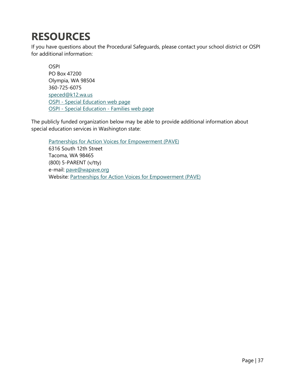## **RESOURCES**

If you have questions about the Procedural Safeguards, please contact your school district or OSPI for additional information:

OSPI PO Box 47200 Olympia, WA 98504 360-725-6075 [speced@k12.wa.us](mailto:speced@k12.wa.us) OSPI - [Special Education web page](http://www.k12.wa.us/SpecialEd/default.aspx) OSPI - [Special Education -](http://www.k12.wa.us/SpecialEd/Families/Assistance.aspx) Families web page

The publicly funded organization below may be able to provide additional information about special education services in Washington state:

<span id="page-36-0"></span>[Partnerships for Action Voices for Empowerment \(PAVE\)](http://www.wapave.org/) 6316 South 12th Street Tacoma, WA 98465 (800) 5-PARENT (v/tty) e-mail: [pave@wapave.org](mailto:pave@wapave.org) Website: Partnerships for Action Voices for Empowerment (PAVE)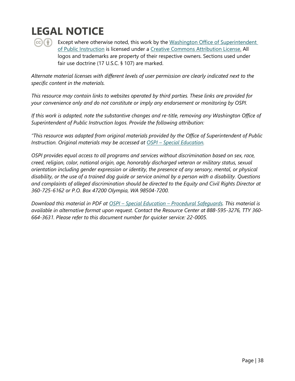## **LEGAL NOTICE**



Except where otherwise noted, this work by the Washington Office of Superintendent [of Public Instruction](http://www.k12.wa.us/) is licensed under a [Creative Commons Attribution License.](https://nam02.safelinks.protection.outlook.com/?url=http%3A%2F%2Fcreativecommons.org%2Flicenses%2Fby%2F4.0%2F&data=04%7C01%7CBen.King%40k12.wa.us%7Cd86b5e4478f04df589cf08d972df7032%7Cb2fe5ccf10a546feae45a0267412af7a%7C0%7C0%7C637667126755993578%7CUnknown%7CTWFpbGZsb3d8eyJWIjoiMC4wLjAwMDAiLCJQIjoiV2luMzIiLCJBTiI6Ik1haWwiLCJXVCI6Mn0%3D%7C1000&sdata=jJ0JztcQCRqYn2DLlDkvEdB0VGQqL3oGbE68cBoZ8XI%3D&reserved=0) All logos and trademarks are property of their respective owners. Sections used under fair use doctrine (17 U.S.C. § 107) are marked.

*Alternate material licenses with different levels of user permission are clearly indicated next to the specific content in the materials.*

*This resource may contain links to websites operated by third parties. These links are provided for your convenience only and do not constitute or imply any endorsement or monitoring by OSPI.*

*If this work is adapted, note the substantive changes and re-title, removing any Washington Office of Superintendent of Public Instruction logos. Provide the following attribution:*

*"This resource was adapted from original materials provided by the Office of Superintendent of Public Instruction. Original materials may be accessed at OSPI – [Special Education.](https://www.k12.wa.us/student-success/special-education)*

*OSPI provides equal access to all programs and services without discrimination based on sex, race, creed, religion, color, national origin, age, honorably discharged veteran or military status, sexual orientation including gender expression or identity, the presence of any sensory, mental, or physical disability, or the use of a trained dog guide or service animal by a person with a disability. Questions and complaints of alleged discrimination should be directed to the Equity and Civil Rights Director at 360-725-6162 or P.O. Box 47200 Olympia, WA 98504-7200.*

*Download this material in PDF at OSPI – Special Education – [Procedural Safeguards.](https://www.k12.wa.us/student-success/special-education/family-engagement-and-guidance/parent-and-student-rights) This material is available in alternative format upon request. Contact the Resource Center at 888-595-3276, TTY 360- 664-3631. Please refer to this document number for quicker service: 22-0005.*